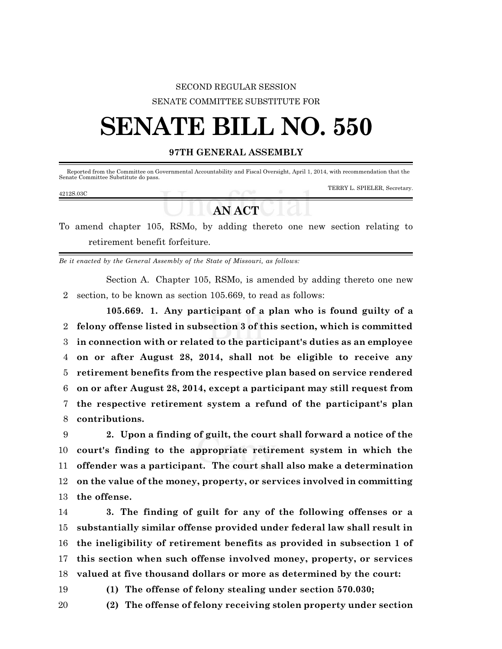## SECOND REGULAR SESSION SENATE COMMITTEE SUBSTITUTE FOR

# **SENATE BILL NO. 550**

### **97TH GENERAL ASSEMBLY**

| Senate Committee Substitute do pass. |  | Reported from the Committee on Governmental Accountability and Fiscal Oversight, April 1, 2014, with recommendation that the |
|--------------------------------------|--|------------------------------------------------------------------------------------------------------------------------------|
| 4212S.03C                            |  | TERRY L. SPIELER, Secretary.                                                                                                 |
|                                      |  |                                                                                                                              |

# **ANACT**

To amend chapter 105, RSMo, by adding thereto one new section relating to retirement benefit forfeiture.

*Be it enacted by the General Assembly of the State of Missouri, as follows:*

Section A. Chapter 105, RSMo, is amended by adding thereto one new 2 section, to be known as section 105.669, to read as follows:

**105.669. 1. Any participant of a plan who is found guilty of a felony offense listed in subsection 3 of this section, which is committed in connection with or related to the participant's duties as an employee on or after August 28, 2014, shall not be eligible to receive any retirement benefits from the respective plan based on service rendered on or after August 28, 2014, except a participant may still request from the respective retirement system a refund of the participant's plan contributions.**

 **2. Upon a finding of guilt, the court shall forward a notice of the court's finding to the appropriate retirement system in which the offender was a participant. The court shall also make a determination on the value of the money, property, or services involved in committing the offense.**

 **3. The finding of guilt for any of the following offenses or a substantially similar offense provided under federal law shall result in the ineligibility of retirement benefits as provided in subsection 1 of this section when such offense involved money, property, or services valued at five thousand dollars or more as determined by the court:**

19 **(1) The offense of felony stealing under section 570.030;**

20 **(2) The offense of felony receiving stolen property under section**